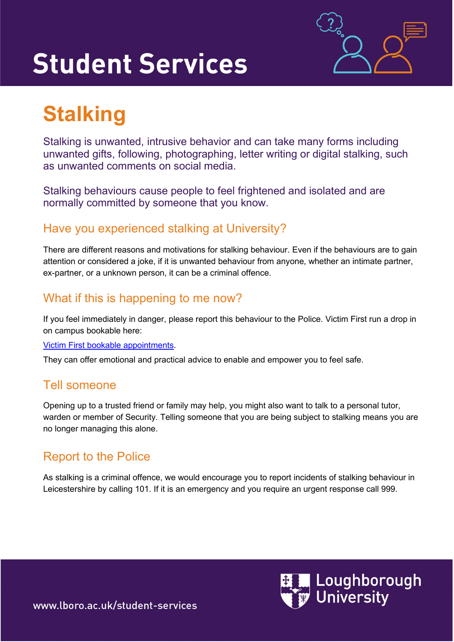# **Student Services**



## **Stalking**

Stalking is unwanted, intrusive behavior and can take many forms including unwanted gifts, following, photographing, letter writing or digital stalking, such as unwanted comments on social media.

Stalking behaviours cause people to feel frightened and isolated and are normally committed by someone that you know.

#### Have you experienced stalking at University?

There are different reasons and motivations for stalking behaviour. Even if the behaviours are to gain attention or considered a joke, if it is unwanted behaviour from anyone, whether an intimate partner, ex-partner, or a unknown person, it can be a criminal offence.

#### What if this is happening to me now?

If you feel immediately in danger, please report this behaviour to the Police. Victim First run a drop in on campus bookable here:

#### [Victim First bookable appointments.](https://www.lboro.ac.uk/services/student-services/external-partners/victim-first/)

They can offer emotional and practical advice to enable and empower you to feel safe.

#### Tell someone

Opening up to a trusted friend or family may help, you might also want to talk to a personal tutor, warden or member of Security. Telling someone that you are being subject to stalking means you are no longer managing this alone.

#### Report to the Police

As stalking is a criminal offence, we would encourage you to report incidents of stalking behaviour in Leicestershire by calling 101. If it is an emergency and you require an urgent response call 999.



www.lboro.ac.uk/student-services